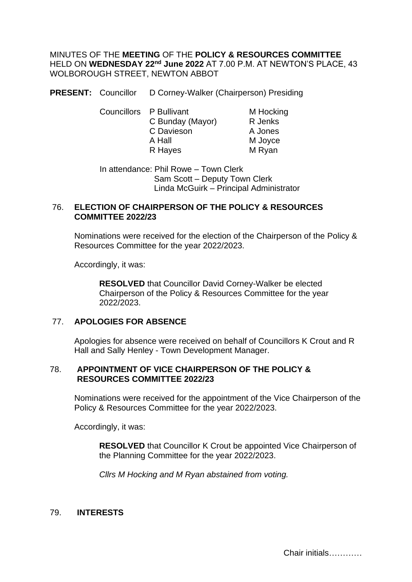MINUTES OF THE **MEETING** OF THE **POLICY & RESOURCES COMMITTEE**  HELD ON **WEDNESDAY 22nd June 2022** AT 7.00 P.M. AT NEWTON'S PLACE, 43 WOLBOROUGH STREET, NEWTON ABBOT

**PRESENT:** Councillor D Corney-Walker (Chairperson) Presiding

Councillors P Bullivant M Hocking C Bunday (Mayor) R Jenks C Davieson A Jones A Hall M Joyce R Hayes M Ryan

In attendance: Phil Rowe – Town Clerk Sam Scott – Deputy Town Clerk Linda McGuirk – Principal Administrator

### 76. **ELECTION OF CHAIRPERSON OF THE POLICY & RESOURCES COMMITTEE 2022/23**

Nominations were received for the election of the Chairperson of the Policy & Resources Committee for the year 2022/2023.

Accordingly, it was:

**RESOLVED** that Councillor David Corney-Walker be elected Chairperson of the Policy & Resources Committee for the year 2022/2023.

## 77. **APOLOGIES FOR ABSENCE**

Apologies for absence were received on behalf of Councillors K Crout and R Hall and Sally Henley - Town Development Manager.

## 78. **APPOINTMENT OF VICE CHAIRPERSON OF THE POLICY & RESOURCES COMMITTEE 2022/23**

Nominations were received for the appointment of the Vice Chairperson of the Policy & Resources Committee for the year 2022/2023.

Accordingly, it was:

**RESOLVED** that Councillor K Crout be appointed Vice Chairperson of the Planning Committee for the year 2022/2023.

*Cllrs M Hocking and M Ryan abstained from voting.*

## 79. **INTERESTS**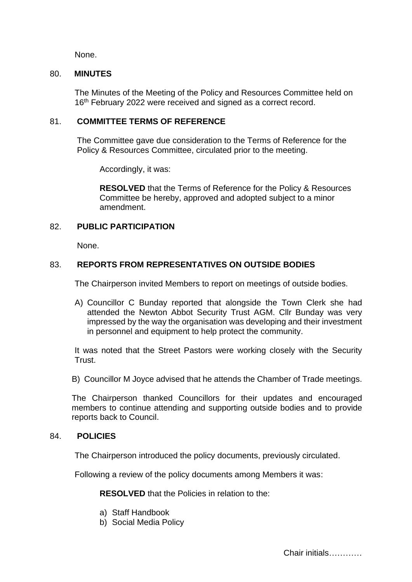None.

### 80. **MINUTES**

The Minutes of the Meeting of the Policy and Resources Committee held on 16<sup>th</sup> February 2022 were received and signed as a correct record.

### 81. **COMMITTEE TERMS OF REFERENCE**

The Committee gave due consideration to the Terms of Reference for the Policy & Resources Committee, circulated prior to the meeting.

Accordingly, it was:

**RESOLVED** that the Terms of Reference for the Policy & Resources Committee be hereby, approved and adopted subject to a minor amendment.

## 82. **PUBLIC PARTICIPATION**

None.

## 83. **REPORTS FROM REPRESENTATIVES ON OUTSIDE BODIES**

The Chairperson invited Members to report on meetings of outside bodies.

A) Councillor C Bunday reported that alongside the Town Clerk she had attended the Newton Abbot Security Trust AGM. Cllr Bunday was very impressed by the way the organisation was developing and their investment in personnel and equipment to help protect the community.

It was noted that the Street Pastors were working closely with the Security Trust.

B) Councillor M Joyce advised that he attends the Chamber of Trade meetings.

The Chairperson thanked Councillors for their updates and encouraged members to continue attending and supporting outside bodies and to provide reports back to Council.

### 84. **POLICIES**

The Chairperson introduced the policy documents, previously circulated.

Following a review of the policy documents among Members it was:

**RESOLVED** that the Policies in relation to the:

- a) Staff Handbook
- b) Social Media Policy